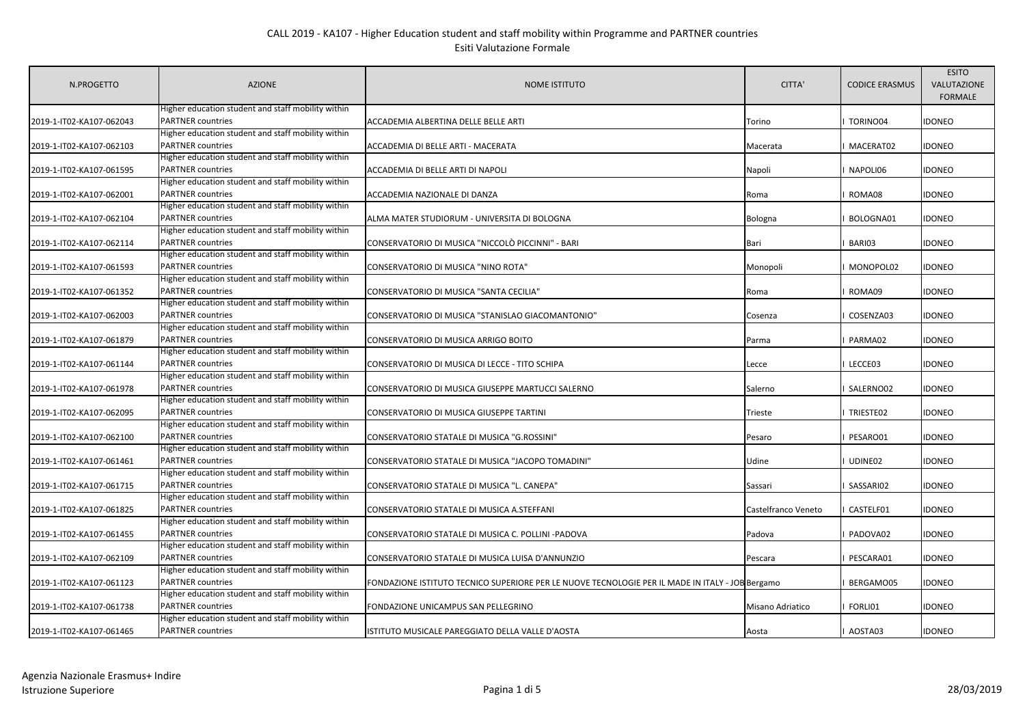| N.PROGETTO               | <b>AZIONE</b>                                                                  | <b>NOME ISTITUTO</b>                                                                             | CITTA'              | <b>CODICE ERASMUS</b> | <b>ESITO</b><br>VALUTAZIONE<br><b>FORMALE</b> |
|--------------------------|--------------------------------------------------------------------------------|--------------------------------------------------------------------------------------------------|---------------------|-----------------------|-----------------------------------------------|
| 2019-1-IT02-KA107-062043 | Higher education student and staff mobility within<br><b>PARTNER countries</b> | ACCADEMIA ALBERTINA DELLE BELLE ARTI                                                             | Torino              | TORINO04              | <b>IDONEO</b>                                 |
| 2019-1-IT02-KA107-062103 | Higher education student and staff mobility within<br><b>PARTNER countries</b> | ACCADEMIA DI BELLE ARTI - MACERATA                                                               | Macerata            | MACERAT02             | <b>IDONEO</b>                                 |
| 2019-1-IT02-KA107-061595 | Higher education student and staff mobility within<br><b>PARTNER countries</b> | ACCADEMIA DI BELLE ARTI DI NAPOLI                                                                | Napoli              | NAPOLI06              | <b>IDONEO</b>                                 |
| 2019-1-IT02-KA107-062001 | Higher education student and staff mobility within<br><b>PARTNER countries</b> | ACCADEMIA NAZIONALE DI DANZA                                                                     | Roma                | ROMA08                | <b>IDONEO</b>                                 |
| 2019-1-IT02-KA107-062104 | Higher education student and staff mobility within<br><b>PARTNER countries</b> | ALMA MATER STUDIORUM - UNIVERSITA DI BOLOGNA                                                     | <b>Bologna</b>      | BOLOGNA01             | <b>IDONEO</b>                                 |
| 2019-1-IT02-KA107-062114 | Higher education student and staff mobility within<br><b>PARTNER countries</b> | CONSERVATORIO DI MUSICA "NICCOLÒ PICCINNI" - BARI                                                | Bari                | BARI03                | <b>IDONEO</b>                                 |
| 2019-1-IT02-KA107-061593 | Higher education student and staff mobility within<br><b>PARTNER countries</b> | CONSERVATORIO DI MUSICA "NINO ROTA"                                                              | Monopoli            | MONOPOL02             | <b>IDONEO</b>                                 |
| 2019-1-IT02-KA107-061352 | Higher education student and staff mobility within<br><b>PARTNER countries</b> | CONSERVATORIO DI MUSICA "SANTA CECILIA"                                                          | Roma                | ROMA09                | <b>IDONEO</b>                                 |
| 2019-1-IT02-KA107-062003 | Higher education student and staff mobility within<br><b>PARTNER countries</b> | CONSERVATORIO DI MUSICA "STANISLAO GIACOMANTONIO"                                                | Cosenza             | COSENZA03             | <b>IDONEO</b>                                 |
| 2019-1-IT02-KA107-061879 | Higher education student and staff mobility within<br><b>PARTNER</b> countries | CONSERVATORIO DI MUSICA ARRIGO BOITO                                                             | Parma               | PARMA02               | <b>IDONEO</b>                                 |
| 2019-1-IT02-KA107-061144 | Higher education student and staff mobility within<br><b>PARTNER countries</b> | CONSERVATORIO DI MUSICA DI LECCE - TITO SCHIPA                                                   | Lecce               | LECCE03               | <b>IDONEO</b>                                 |
| 2019-1-IT02-KA107-061978 | Higher education student and staff mobility within<br><b>PARTNER countries</b> | CONSERVATORIO DI MUSICA GIUSEPPE MARTUCCI SALERNO                                                | Salerno             | SALERNO02             | <b>IDONEO</b>                                 |
| 2019-1-IT02-KA107-062095 | Higher education student and staff mobility within<br><b>PARTNER countries</b> | CONSERVATORIO DI MUSICA GIUSEPPE TARTINI                                                         | Trieste             | TRIESTE02             | <b>IDONEO</b>                                 |
| 2019-1-IT02-KA107-062100 | Higher education student and staff mobility within<br><b>PARTNER countries</b> | CONSERVATORIO STATALE DI MUSICA "G.ROSSINI"                                                      | Pesaro              | PESARO01              | <b>IDONEO</b>                                 |
| 2019-1-IT02-KA107-061461 | Higher education student and staff mobility within<br><b>PARTNER countries</b> | CONSERVATORIO STATALE DI MUSICA "JACOPO TOMADINI"                                                | Udine               | UDINE02               | <b>IDONEO</b>                                 |
| 2019-1-IT02-KA107-061715 | Higher education student and staff mobility within<br><b>PARTNER</b> countries | CONSERVATORIO STATALE DI MUSICA "L. CANEPA"                                                      | Sassari             | SASSARI02             | <b>IDONEO</b>                                 |
| 2019-1-IT02-KA107-061825 | Higher education student and staff mobility within<br><b>PARTNER countries</b> | CONSERVATORIO STATALE DI MUSICA A.STEFFANI                                                       | Castelfranco Veneto | CASTELF01             | <b>IDONEO</b>                                 |
| 2019-1-IT02-KA107-061455 | Higher education student and staff mobility within<br><b>PARTNER countries</b> | CONSERVATORIO STATALE DI MUSICA C. POLLINI -PADOVA                                               | Padova              | PADOVA02              | <b>IDONEO</b>                                 |
| 2019-1-IT02-KA107-062109 | Higher education student and staff mobility within<br><b>PARTNER countries</b> | CONSERVATORIO STATALE DI MUSICA LUISA D'ANNUNZIO                                                 | Pescara             | PESCARA01             | <b>IDONEO</b>                                 |
| 2019-1-IT02-KA107-061123 | Higher education student and staff mobility within<br><b>PARTNER</b> countries | FONDAZIONE ISTITUTO TECNICO SUPERIORE PER LE NUOVE TECNOLOGIE PER IL MADE IN ITALY - JOB Bergamo |                     | BERGAMO05             | <b>IDONEO</b>                                 |
| 2019-1-IT02-KA107-061738 | Higher education student and staff mobility within<br><b>PARTNER countries</b> | FONDAZIONE UNICAMPUS SAN PELLEGRINO                                                              | Misano Adriatico    | FORLI01               | <b>IDONEO</b>                                 |
| 2019-1-IT02-KA107-061465 | Higher education student and staff mobility within<br><b>PARTNER countries</b> | ISTITUTO MUSICALE PAREGGIATO DELLA VALLE D'AOSTA                                                 | Aosta               | AOSTA03               | <b>IDONEO</b>                                 |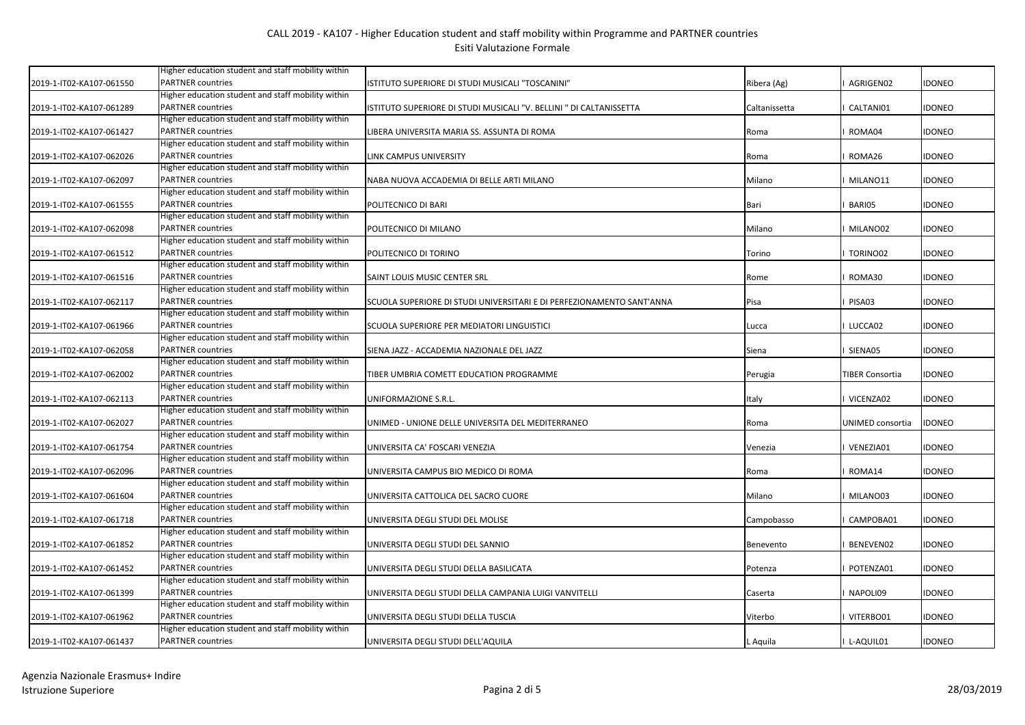|                          | Higher education student and staff mobility within |                                                                       |               |                        |               |
|--------------------------|----------------------------------------------------|-----------------------------------------------------------------------|---------------|------------------------|---------------|
| 2019-1-IT02-KA107-061550 | <b>PARTNER</b> countries                           | ISTITUTO SUPERIORE DI STUDI MUSICALI "TOSCANINI"                      | Ribera (Ag)   | AGRIGEN02              | IDONEO        |
|                          | Higher education student and staff mobility within |                                                                       |               |                        |               |
| 2019-1-IT02-KA107-061289 | <b>PARTNER countries</b>                           | ISTITUTO SUPERIORE DI STUDI MUSICALI "V. BELLINI " DI CALTANISSETTA   | Caltanissetta | CALTANI01              | <b>IDONEO</b> |
|                          | Higher education student and staff mobility within |                                                                       |               |                        |               |
| 2019-1-IT02-KA107-061427 | <b>PARTNER countries</b>                           | LIBERA UNIVERSITA MARIA SS. ASSUNTA DI ROMA                           | Roma          | ROMA04                 | <b>IDONEO</b> |
|                          | Higher education student and staff mobility within |                                                                       |               |                        |               |
| 2019-1-IT02-KA107-062026 | <b>PARTNER</b> countries                           | LINK CAMPUS UNIVERSITY                                                | Roma          | ROMA26                 | <b>IDONEO</b> |
|                          | Higher education student and staff mobility within |                                                                       |               |                        |               |
| 2019-1-IT02-KA107-062097 | <b>PARTNER countries</b>                           | NABA NUOVA ACCADEMIA DI BELLE ARTI MILANO                             | Milano        | MILANO11               | IDONEO        |
|                          | Higher education student and staff mobility within |                                                                       |               |                        |               |
| 2019-1-IT02-KA107-061555 | <b>PARTNER countries</b>                           | POLITECNICO DI BARI                                                   | Bari          | BARI05                 | <b>IDONEO</b> |
|                          | Higher education student and staff mobility within |                                                                       |               |                        |               |
| 2019-1-IT02-KA107-062098 | <b>PARTNER countries</b>                           | POLITECNICO DI MILANO                                                 | Milano        | MILANO02               | IDONEO        |
|                          | Higher education student and staff mobility within |                                                                       |               |                        |               |
| 2019-1-IT02-KA107-061512 | <b>PARTNER</b> countries                           | POLITECNICO DI TORINO                                                 | Torino        | TORINO02               | IDONEO        |
|                          | Higher education student and staff mobility within |                                                                       |               |                        |               |
| 2019-1-IT02-KA107-061516 | <b>PARTNER</b> countries                           | SAINT LOUIS MUSIC CENTER SRL                                          | Rome          | ROMA30                 | <b>IDONEO</b> |
|                          | Higher education student and staff mobility within |                                                                       |               |                        |               |
| 2019-1-IT02-KA107-062117 | <b>PARTNER countries</b>                           | SCUOLA SUPERIORE DI STUDI UNIVERSITARI E DI PERFEZIONAMENTO SANT'ANNA | Pisa          | PISA03                 | <b>IDONEO</b> |
|                          | Higher education student and staff mobility within |                                                                       |               |                        |               |
| 2019-1-IT02-KA107-061966 | <b>PARTNER countries</b>                           | SCUOLA SUPERIORE PER MEDIATORI LINGUISTICI                            | Lucca         | LUCCA02                | <b>IDONEO</b> |
|                          | Higher education student and staff mobility within |                                                                       |               |                        |               |
| 2019-1-IT02-KA107-062058 | <b>PARTNER</b> countries                           | SIENA JAZZ - ACCADEMIA NAZIONALE DEL JAZZ                             | Siena         | SIENA05                | <b>IDONEO</b> |
|                          | Higher education student and staff mobility within |                                                                       |               |                        |               |
| 2019-1-IT02-KA107-062002 | <b>PARTNER</b> countries                           | TIBER UMBRIA COMETT EDUCATION PROGRAMME                               | Perugia       | <b>TIBER Consortia</b> | <b>IDONEO</b> |
|                          | Higher education student and staff mobility within |                                                                       |               |                        |               |
| 2019-1-IT02-KA107-062113 | <b>PARTNER countries</b>                           | UNIFORMAZIONE S.R.L.                                                  | Italy         | VICENZA02              | <b>IDONEO</b> |
|                          | Higher education student and staff mobility within |                                                                       |               |                        |               |
| 2019-1-IT02-KA107-062027 | <b>PARTNER</b> countries                           | UNIMED - UNIONE DELLE UNIVERSITA DEL MEDITERRANEO                     | Roma          | UNIMED consortia       | <b>IDONEO</b> |
|                          | Higher education student and staff mobility within |                                                                       |               |                        |               |
| 2019-1-IT02-KA107-061754 | <b>PARTNER</b> countries                           | UNIVERSITA CA' FOSCARI VENEZIA                                        | Venezia       | VENEZIA01              | <b>IDONEO</b> |
|                          | Higher education student and staff mobility within |                                                                       |               |                        |               |
| 2019-1-IT02-KA107-062096 | <b>PARTNER</b> countries                           | UNIVERSITA CAMPUS BIO MEDICO DI ROMA                                  | Roma          | ROMA14                 | idoneo        |
|                          | Higher education student and staff mobility within |                                                                       |               |                        |               |
| 2019-1-IT02-KA107-061604 | <b>PARTNER</b> countries                           | UNIVERSITA CATTOLICA DEL SACRO CUORE                                  | Milano        | MILANO03               | IDONEO        |
|                          | Higher education student and staff mobility within |                                                                       |               |                        |               |
| 2019-1-IT02-KA107-061718 | <b>PARTNER countries</b>                           | UNIVERSITA DEGLI STUDI DEL MOLISE                                     | Campobasso    | CAMPOBA01              | <b>IDONEO</b> |
|                          | Higher education student and staff mobility within |                                                                       |               |                        |               |
| 2019-1-IT02-KA107-061852 | <b>PARTNER countries</b>                           | UNIVERSITA DEGLI STUDI DEL SANNIO                                     | Benevento     | BENEVEN02              | <b>IDONEO</b> |
|                          | Higher education student and staff mobility within |                                                                       |               |                        |               |
| 2019-1-IT02-KA107-061452 | <b>PARTNER countries</b>                           | UNIVERSITA DEGLI STUDI DELLA BASILICATA                               | Potenza       | POTENZA01              | idoneo        |
|                          | Higher education student and staff mobility within |                                                                       |               |                        |               |
| 2019-1-IT02-KA107-061399 | <b>PARTNER</b> countries                           | UNIVERSITA DEGLI STUDI DELLA CAMPANIA LUIGI VANVITELLI                | Caserta       | NAPOLI09               | <b>IDONEO</b> |
|                          | Higher education student and staff mobility within |                                                                       |               |                        |               |
| 2019-1-IT02-KA107-061962 | <b>PARTNER</b> countries                           | UNIVERSITA DEGLI STUDI DELLA TUSCIA                                   | Viterbo       | VITERBO01              | IDONEO        |
|                          | Higher education student and staff mobility within |                                                                       |               |                        |               |
| 2019-1-IT02-KA107-061437 | <b>PARTNER countries</b>                           | UNIVERSITA DEGLI STUDI DELL'AQUILA                                    | L Aguila      | I L-AQUIL01            | <b>IDONEO</b> |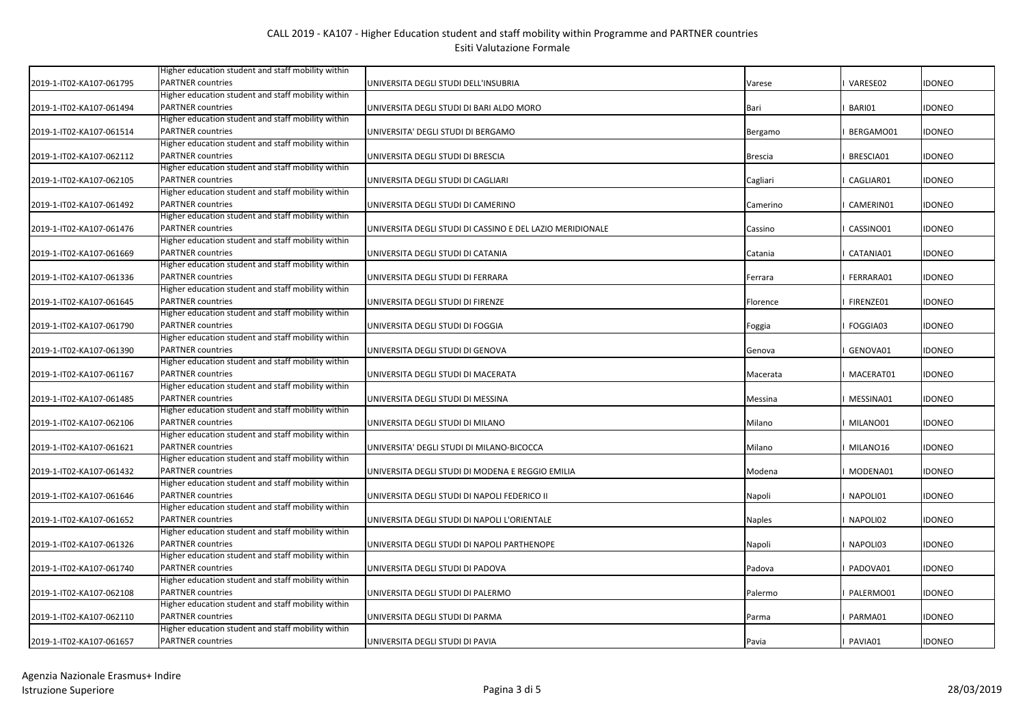| 2019-1-IT02-KA107-061795 | Higher education student and staff mobility within<br><b>PARTNER</b> countries | UNIVERSITA DEGLI STUDI DELL'INSUBRIA                      | Varese         | VARESE02  | IDONEO        |
|--------------------------|--------------------------------------------------------------------------------|-----------------------------------------------------------|----------------|-----------|---------------|
|                          | Higher education student and staff mobility within                             |                                                           |                |           |               |
| 2019-1-IT02-KA107-061494 | <b>PARTNER countries</b>                                                       | UNIVERSITA DEGLI STUDI DI BARI ALDO MORO                  | Bari           | BARI01    | <b>IDONEO</b> |
|                          | Higher education student and staff mobility within                             |                                                           |                |           |               |
| 2019-1-IT02-KA107-061514 | <b>PARTNER countries</b>                                                       | UNIVERSITA' DEGLI STUDI DI BERGAMO                        | Bergamo        | BERGAMO01 | <b>IDONEO</b> |
|                          | Higher education student and staff mobility within                             |                                                           |                |           |               |
| 2019-1-IT02-KA107-062112 | <b>PARTNER countries</b>                                                       | UNIVERSITA DEGLI STUDI DI BRESCIA                         | <b>Brescia</b> | BRESCIA01 | <b>IDONEO</b> |
|                          | Higher education student and staff mobility within                             |                                                           |                |           |               |
| 2019-1-IT02-KA107-062105 | <b>PARTNER countries</b>                                                       | UNIVERSITA DEGLI STUDI DI CAGLIARI                        | Cagliari       | CAGLIAR01 | <b>IDONEO</b> |
|                          | Higher education student and staff mobility within                             |                                                           |                |           |               |
| 2019-1-IT02-KA107-061492 | <b>PARTNER</b> countries                                                       | UNIVERSITA DEGLI STUDI DI CAMERINO                        | Camerino       | CAMERIN01 | <b>IDONEO</b> |
|                          | Higher education student and staff mobility within                             |                                                           |                |           |               |
| 2019-1-IT02-KA107-061476 | <b>PARTNER countries</b>                                                       | UNIVERSITA DEGLI STUDI DI CASSINO E DEL LAZIO MERIDIONALE | Cassino        | CASSINO01 | <b>IDONEO</b> |
|                          | Higher education student and staff mobility within                             |                                                           |                |           |               |
| 2019-1-IT02-KA107-061669 | <b>PARTNER countries</b>                                                       | UNIVERSITA DEGLI STUDI DI CATANIA                         | Catania        | CATANIA01 | <b>IDONEO</b> |
|                          | Higher education student and staff mobility within                             |                                                           |                |           |               |
| 2019-1-IT02-KA107-061336 | <b>PARTNER countries</b>                                                       | UNIVERSITA DEGLI STUDI DI FERRARA                         | Ferrara        | FERRARA01 | idoneo        |
|                          | Higher education student and staff mobility within                             |                                                           |                |           |               |
| 2019-1-IT02-KA107-061645 | <b>PARTNER countries</b>                                                       | UNIVERSITA DEGLI STUDI DI FIRENZE                         | Florence       | FIRENZE01 | <b>IDONEO</b> |
|                          | Higher education student and staff mobility within                             |                                                           |                |           |               |
| 2019-1-IT02-KA107-061790 | <b>PARTNER countries</b>                                                       | UNIVERSITA DEGLI STUDI DI FOGGIA                          | Foggia         | FOGGIA03  | idoneo        |
|                          | Higher education student and staff mobility within                             |                                                           |                |           |               |
| 2019-1-IT02-KA107-061390 | <b>PARTNER</b> countries                                                       | UNIVERSITA DEGLI STUDI DI GENOVA                          | Genova         | GENOVA01  | <b>IDONEO</b> |
|                          | Higher education student and staff mobility within                             |                                                           |                |           |               |
| 2019-1-IT02-KA107-061167 | <b>PARTNER</b> countries                                                       | UNIVERSITA DEGLI STUDI DI MACERATA                        | Macerata       | MACERAT01 | <b>IDONEO</b> |
|                          | Higher education student and staff mobility within                             |                                                           |                |           |               |
| 2019-1-IT02-KA107-061485 | <b>PARTNER countries</b>                                                       | UNIVERSITA DEGLI STUDI DI MESSINA                         | Messina        | MESSINA01 | <b>IDONEO</b> |
|                          | Higher education student and staff mobility within                             |                                                           |                |           |               |
| 2019-1-IT02-KA107-062106 | <b>PARTNER</b> countries                                                       | UNIVERSITA DEGLI STUDI DI MILANO                          | Milano         | MILANO01  | <b>IDONEO</b> |
|                          | Higher education student and staff mobility within                             |                                                           |                |           |               |
| 2019-1-IT02-KA107-061621 | <b>PARTNER countries</b>                                                       | UNIVERSITA' DEGLI STUDI DI MILANO-BICOCCA                 | Milano         | MILANO16  | IDONEO        |
|                          | Higher education student and staff mobility within                             |                                                           |                |           |               |
| 2019-1-IT02-KA107-061432 | <b>PARTNER</b> countries                                                       | UNIVERSITA DEGLI STUDI DI MODENA E REGGIO EMILIA          | Modena         | MODENA01  | <b>IDONEO</b> |
| 2019-1-IT02-KA107-061646 | Higher education student and staff mobility within<br><b>PARTNER countries</b> |                                                           |                |           |               |
|                          | Higher education student and staff mobility within                             | UNIVERSITA DEGLI STUDI DI NAPOLI FEDERICO II              | Napoli         | NAPOLI01  | <b>IDONEO</b> |
|                          | <b>PARTNER countries</b>                                                       |                                                           |                |           |               |
| 2019-1-IT02-KA107-061652 | Higher education student and staff mobility within                             | UNIVERSITA DEGLI STUDI DI NAPOLI L'ORIENTALE              | <b>Naples</b>  | NAPOLI02  | <b>IDONEO</b> |
| 2019-1-IT02-KA107-061326 | <b>PARTNER countries</b>                                                       | UNIVERSITA DEGLI STUDI DI NAPOLI PARTHENOPE               | Napoli         | NAPOLI03  | <b>IDONEO</b> |
|                          | Higher education student and staff mobility within                             |                                                           |                |           |               |
| 2019-1-IT02-KA107-061740 | <b>PARTNER</b> countries                                                       | UNIVERSITA DEGLI STUDI DI PADOVA                          | Padova         | PADOVA01  | <b>IDONEO</b> |
|                          | Higher education student and staff mobility within                             |                                                           |                |           |               |
| 2019-1-IT02-KA107-062108 | <b>PARTNER</b> countries                                                       | UNIVERSITA DEGLI STUDI DI PALERMO                         | Palermo        | PALERMO01 | idoneo        |
|                          | Higher education student and staff mobility within                             |                                                           |                |           |               |
| 2019-1-IT02-KA107-062110 | <b>PARTNER</b> countries                                                       | UNIVERSITA DEGLI STUDI DI PARMA                           | Parma          | PARMA01   | idoneo        |
|                          | Higher education student and staff mobility within                             |                                                           |                |           |               |
| 2019-1-IT02-KA107-061657 | <b>PARTNER countries</b>                                                       | UNIVERSITA DEGLI STUDI DI PAVIA                           | Pavia          | I PAVIA01 | <b>IDONEO</b> |
|                          |                                                                                |                                                           |                |           |               |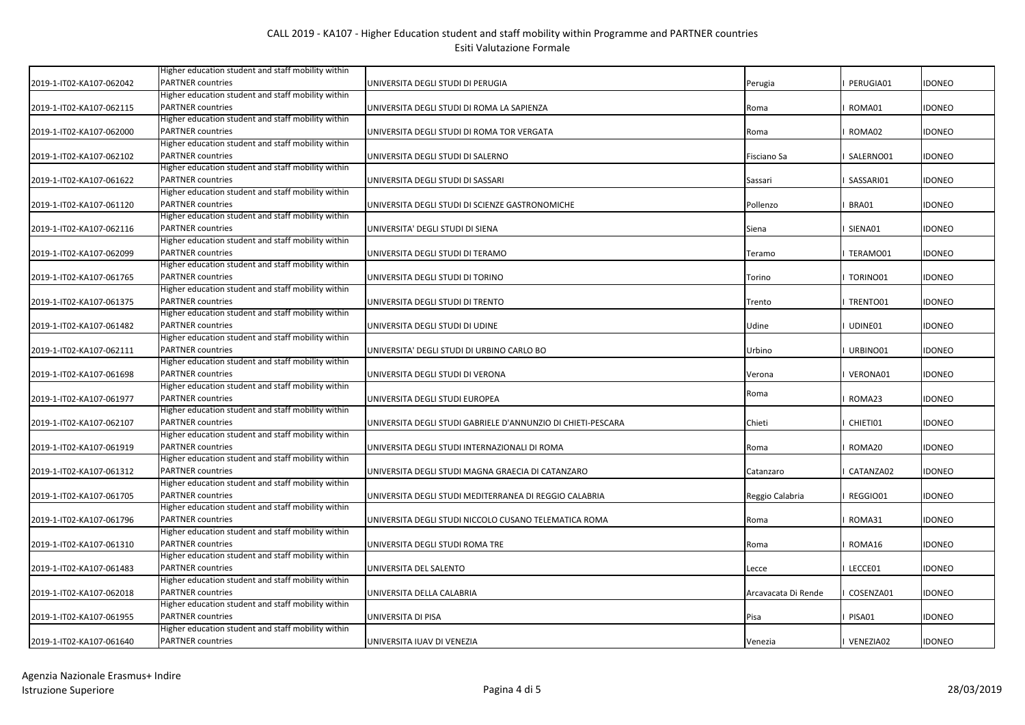|                          | Higher education student and staff mobility within |                                                              |                     |             |               |
|--------------------------|----------------------------------------------------|--------------------------------------------------------------|---------------------|-------------|---------------|
| 2019-1-IT02-KA107-062042 | <b>PARTNER</b> countries                           | UNIVERSITA DEGLI STUDI DI PERUGIA                            | Perugia             | PERUGIA01   | IDONEO        |
|                          | Higher education student and staff mobility within |                                                              |                     |             |               |
| 2019-1-IT02-KA107-062115 | <b>PARTNER countries</b>                           | UNIVERSITA DEGLI STUDI DI ROMA LA SAPIENZA                   | Roma                | ROMA01      | <b>IDONEO</b> |
|                          | Higher education student and staff mobility within |                                                              |                     |             |               |
| 2019-1-IT02-KA107-062000 | <b>PARTNER countries</b>                           | UNIVERSITA DEGLI STUDI DI ROMA TOR VERGATA                   | Roma                | ROMA02      | <b>IDONEO</b> |
|                          | Higher education student and staff mobility within |                                                              |                     |             |               |
| 2019-1-IT02-KA107-062102 | <b>PARTNER countries</b>                           | UNIVERSITA DEGLI STUDI DI SALERNO                            | Fisciano Sa         | SALERNO01   | <b>IDONEO</b> |
|                          | Higher education student and staff mobility within |                                                              |                     |             |               |
| 2019-1-IT02-KA107-061622 | <b>PARTNER</b> countries                           | UNIVERSITA DEGLI STUDI DI SASSARI                            | Sassari             | SASSARI01   | <b>IDONEO</b> |
|                          | Higher education student and staff mobility within |                                                              |                     |             |               |
| 2019-1-IT02-KA107-061120 | <b>PARTNER</b> countries                           | UNIVERSITA DEGLI STUDI DI SCIENZE GASTRONOMICHE              | Pollenzo            | BRA01       | <b>IDONEO</b> |
|                          | Higher education student and staff mobility within |                                                              |                     |             |               |
| 2019-1-IT02-KA107-062116 | <b>PARTNER countries</b>                           | UNIVERSITA' DEGLI STUDI DI SIENA                             | Siena               | SIENA01     | <b>IDONEO</b> |
|                          | Higher education student and staff mobility within |                                                              |                     |             |               |
| 2019-1-IT02-KA107-062099 | <b>PARTNER countries</b>                           | UNIVERSITA DEGLI STUDI DI TERAMO                             | Teramo              | TERAMO01    | idoneo        |
|                          | Higher education student and staff mobility within |                                                              |                     |             |               |
| 2019-1-IT02-KA107-061765 | <b>PARTNER countries</b>                           | UNIVERSITA DEGLI STUDI DI TORINO                             | Torino              | TORINO01    | idoneo        |
|                          | Higher education student and staff mobility within |                                                              |                     |             |               |
| 2019-1-IT02-KA107-061375 | <b>PARTNER</b> countries                           | UNIVERSITA DEGLI STUDI DI TRENTO                             | Trento              | TRENTO01    | <b>IDONEO</b> |
|                          | Higher education student and staff mobility within |                                                              |                     |             |               |
| 2019-1-IT02-KA107-061482 | <b>PARTNER countries</b>                           | UNIVERSITA DEGLI STUDI DI UDINE                              | Udine               | UDINE01     | idoneo        |
|                          | Higher education student and staff mobility within |                                                              |                     |             |               |
| 2019-1-IT02-KA107-062111 | <b>PARTNER</b> countries                           | UNIVERSITA' DEGLI STUDI DI URBINO CARLO BO                   | Urbino              | URBINO01    | <b>IDONEO</b> |
|                          | Higher education student and staff mobility within |                                                              |                     |             |               |
| 2019-1-IT02-KA107-061698 | <b>PARTNER</b> countries                           | UNIVERSITA DEGLI STUDI DI VERONA                             | Verona              | VERONA01    | <b>IDONEO</b> |
|                          | Higher education student and staff mobility within |                                                              | Roma                |             |               |
| 2019-1-IT02-KA107-061977 | <b>PARTNER</b> countries                           | UNIVERSITA DEGLI STUDI EUROPEA                               |                     | ROMA23      | <b>IDONEO</b> |
|                          | Higher education student and staff mobility within |                                                              |                     |             |               |
| 2019-1-IT02-KA107-062107 | <b>PARTNER countries</b>                           | UNIVERSITA DEGLI STUDI GABRIELE D'ANNUNZIO DI CHIETI-PESCARA | Chieti              | CHIETI01    | IDONEO        |
|                          | Higher education student and staff mobility within |                                                              |                     |             |               |
| 2019-1-IT02-KA107-061919 | <b>PARTNER</b> countries                           | UNIVERSITA DEGLI STUDI INTERNAZIONALI DI ROMA                | Roma                | ROMA20      | IDONEO        |
|                          | Higher education student and staff mobility within |                                                              |                     |             |               |
| 2019-1-IT02-KA107-061312 | <b>PARTNER</b> countries                           | UNIVERSITA DEGLI STUDI MAGNA GRAECIA DI CATANZARO            | Catanzaro           | CATANZA02   | <b>IDONEO</b> |
|                          | Higher education student and staff mobility within |                                                              |                     |             |               |
| 2019-1-IT02-KA107-061705 | <b>PARTNER</b> countries                           | UNIVERSITA DEGLI STUDI MEDITERRANEA DI REGGIO CALABRIA       | Reggio Calabria     | REGGIO01    | <b>IDONEO</b> |
|                          | Higher education student and staff mobility within |                                                              |                     |             |               |
| 2019-1-IT02-KA107-061796 | <b>PARTNER countries</b>                           | UNIVERSITA DEGLI STUDI NICCOLO CUSANO TELEMATICA ROMA        | Roma                | ROMA31      | <b>IDONEO</b> |
|                          | Higher education student and staff mobility within |                                                              |                     |             |               |
| 2019-1-IT02-KA107-061310 | <b>PARTNER countries</b>                           | UNIVERSITA DEGLI STUDI ROMA TRE                              | Roma                | ROMA16      | <b>IDONEO</b> |
|                          | Higher education student and staff mobility within |                                                              |                     |             |               |
| 2019-1-IT02-KA107-061483 | <b>PARTNER</b> countries                           | UNIVERSITA DEL SALENTO                                       | Lecce               | LECCE01     | <b>IDONEO</b> |
|                          | Higher education student and staff mobility within |                                                              |                     |             |               |
| 2019-1-IT02-KA107-062018 | <b>PARTNER</b> countries                           | UNIVERSITA DELLA CALABRIA                                    | Arcavacata Di Rende | COSENZA01   | idoneo        |
|                          | Higher education student and staff mobility within |                                                              |                     |             |               |
| 2019-1-IT02-KA107-061955 | <b>PARTNER</b> countries                           | UNIVERSITA DI PISA                                           | Pisa                | PISA01      | idoneo        |
|                          | Higher education student and staff mobility within |                                                              |                     |             |               |
| 2019-1-IT02-KA107-061640 | <b>PARTNER countries</b>                           | UNIVERSITA IUAV DI VENEZIA                                   | Venezia             | I VENEZIA02 | <b>IDONEO</b> |